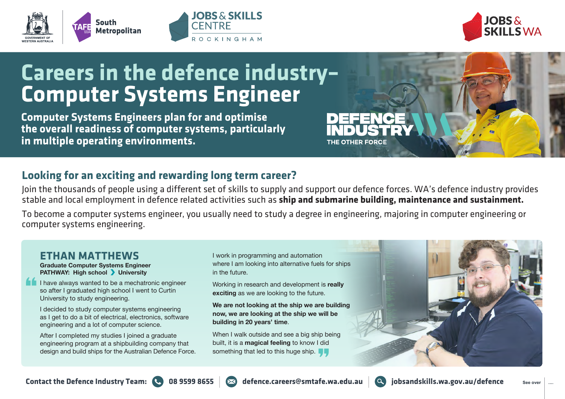





## **Careers in the defence industry– Computer Systems Engineer**

**Computer Systems Engineers plan for and optimise the overall readiness of computer systems, particularly in multiple operating environments.**

## **Looking for an exciting and rewarding long term career?**

Join the thousands of people using a different set of skills to supply and support our defence forces. WA's defence industry provides stable and local employment in defence related activities such as **ship and submarine building, maintenance and sustainment.**

To become a computer systems engineer, you usually need to study a degree in engineering, majoring in computer engineering or computer systems engineering.

## **ETHAN MATTHEWS**

**Graduate Computer Systems Engineer PATHWAY: High school > University** 

I have always wanted to be a mechatronic engineer so after I graduated high school I went to Curtin University to study engineering.

I decided to study computer systems engineering as I get to do a bit of electrical, electronics, software engineering and a lot of computer science.

After I completed my studies I joined a graduate engineering program at a shipbuilding company that design and build ships for the Australian Defence Force. I work in programming and automation where I am looking into alternative fuels for ships in the future.

Working in research and development is **really exciting** as we are looking to the future.

**We are not looking at the ship we are building now, we are looking at the ship we will be building in 20 years' time**.

When I walk outside and see a big ship being built, it is a **magical feeling** to know I did something that led to this huge ship.





THE OTHER FORCE